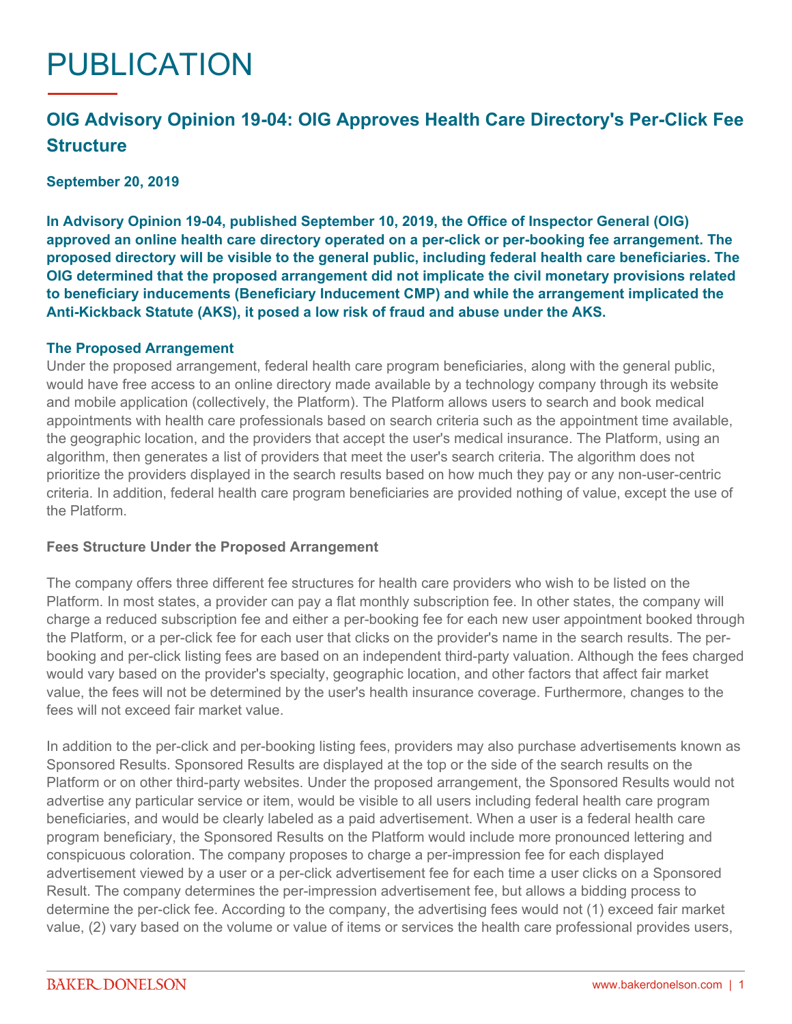# PUBLICATION

# **OIG Advisory Opinion 19-04: OIG Approves Health Care Directory's Per-Click Fee Structure**

**September 20, 2019**

**In Advisory Opinion 19-04, published September 10, 2019, the Office of Inspector General (OIG) approved an online health care directory operated on a per-click or per-booking fee arrangement. The proposed directory will be visible to the general public, including federal health care beneficiaries. The OIG determined that the proposed arrangement did not implicate the civil monetary provisions related to beneficiary inducements (Beneficiary Inducement CMP) and while the arrangement implicated the Anti-Kickback Statute (AKS), it posed a low risk of fraud and abuse under the AKS.**

#### **The Proposed Arrangement**

Under the proposed arrangement, federal health care program beneficiaries, along with the general public, would have free access to an online directory made available by a technology company through its website and mobile application (collectively, the Platform). The Platform allows users to search and book medical appointments with health care professionals based on search criteria such as the appointment time available, the geographic location, and the providers that accept the user's medical insurance. The Platform, using an algorithm, then generates a list of providers that meet the user's search criteria. The algorithm does not prioritize the providers displayed in the search results based on how much they pay or any non-user-centric criteria. In addition, federal health care program beneficiaries are provided nothing of value, except the use of the Platform.

## **Fees Structure Under the Proposed Arrangement**

The company offers three different fee structures for health care providers who wish to be listed on the Platform. In most states, a provider can pay a flat monthly subscription fee. In other states, the company will charge a reduced subscription fee and either a per-booking fee for each new user appointment booked through the Platform, or a per-click fee for each user that clicks on the provider's name in the search results. The perbooking and per-click listing fees are based on an independent third-party valuation. Although the fees charged would vary based on the provider's specialty, geographic location, and other factors that affect fair market value, the fees will not be determined by the user's health insurance coverage. Furthermore, changes to the fees will not exceed fair market value.

In addition to the per-click and per-booking listing fees, providers may also purchase advertisements known as Sponsored Results. Sponsored Results are displayed at the top or the side of the search results on the Platform or on other third-party websites. Under the proposed arrangement, the Sponsored Results would not advertise any particular service or item, would be visible to all users including federal health care program beneficiaries, and would be clearly labeled as a paid advertisement. When a user is a federal health care program beneficiary, the Sponsored Results on the Platform would include more pronounced lettering and conspicuous coloration. The company proposes to charge a per-impression fee for each displayed advertisement viewed by a user or a per-click advertisement fee for each time a user clicks on a Sponsored Result. The company determines the per-impression advertisement fee, but allows a bidding process to determine the per-click fee. According to the company, the advertising fees would not (1) exceed fair market value, (2) vary based on the volume or value of items or services the health care professional provides users,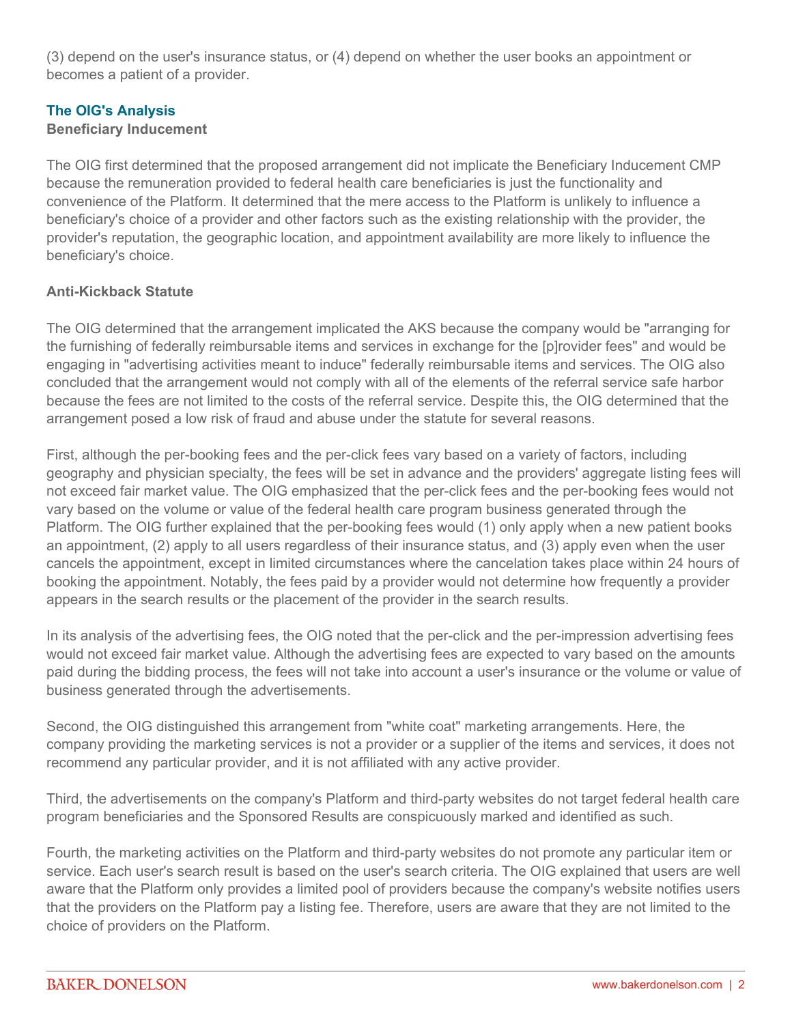(3) depend on the user's insurance status, or (4) depend on whether the user books an appointment or becomes a patient of a provider.

# **The OIG's Analysis**

# **Beneficiary Inducement**

The OIG first determined that the proposed arrangement did not implicate the Beneficiary Inducement CMP because the remuneration provided to federal health care beneficiaries is just the functionality and convenience of the Platform. It determined that the mere access to the Platform is unlikely to influence a beneficiary's choice of a provider and other factors such as the existing relationship with the provider, the provider's reputation, the geographic location, and appointment availability are more likely to influence the beneficiary's choice.

# **Anti-Kickback Statute**

The OIG determined that the arrangement implicated the AKS because the company would be "arranging for the furnishing of federally reimbursable items and services in exchange for the [p]rovider fees" and would be engaging in "advertising activities meant to induce" federally reimbursable items and services. The OIG also concluded that the arrangement would not comply with all of the elements of the referral service safe harbor because the fees are not limited to the costs of the referral service. Despite this, the OIG determined that the arrangement posed a low risk of fraud and abuse under the statute for several reasons.

First, although the per-booking fees and the per-click fees vary based on a variety of factors, including geography and physician specialty, the fees will be set in advance and the providers' aggregate listing fees will not exceed fair market value. The OIG emphasized that the per-click fees and the per-booking fees would not vary based on the volume or value of the federal health care program business generated through the Platform. The OIG further explained that the per-booking fees would (1) only apply when a new patient books an appointment, (2) apply to all users regardless of their insurance status, and (3) apply even when the user cancels the appointment, except in limited circumstances where the cancelation takes place within 24 hours of booking the appointment. Notably, the fees paid by a provider would not determine how frequently a provider appears in the search results or the placement of the provider in the search results.

In its analysis of the advertising fees, the OIG noted that the per-click and the per-impression advertising fees would not exceed fair market value. Although the advertising fees are expected to vary based on the amounts paid during the bidding process, the fees will not take into account a user's insurance or the volume or value of business generated through the advertisements.

Second, the OIG distinguished this arrangement from "white coat" marketing arrangements. Here, the company providing the marketing services is not a provider or a supplier of the items and services, it does not recommend any particular provider, and it is not affiliated with any active provider.

Third, the advertisements on the company's Platform and third-party websites do not target federal health care program beneficiaries and the Sponsored Results are conspicuously marked and identified as such.

Fourth, the marketing activities on the Platform and third-party websites do not promote any particular item or service. Each user's search result is based on the user's search criteria. The OIG explained that users are well aware that the Platform only provides a limited pool of providers because the company's website notifies users that the providers on the Platform pay a listing fee. Therefore, users are aware that they are not limited to the choice of providers on the Platform.